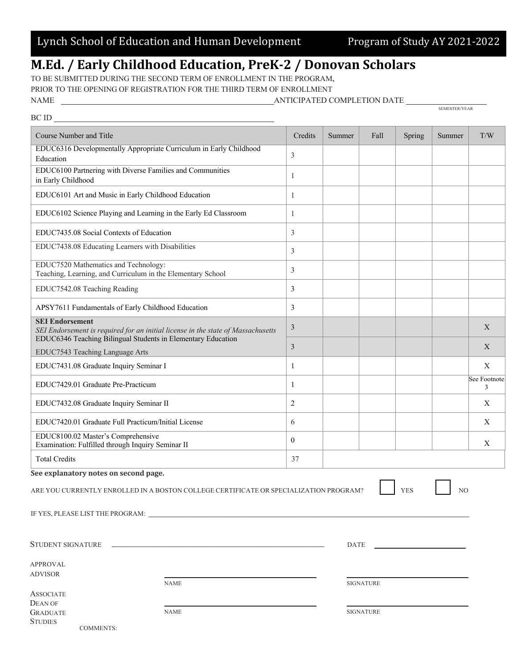## M.Ed. / Early Childhood Education, PreK-2 / Donovan Scholars

TO BE SUBMITTED DURING THE SECOND TERM OF ENROLLMENT IN THE PROGRAM, PRIOR TO THE OPENING OF REGISTRATION FOR THE THIRD TERM OF ENROLLMENT NAME

 $\mathbf{B} \times \mathbf{B}$ 

COMMENTS:

| Course Number and Title                                                                                                                                                    | Credits          | Summer | Fall             | Spring     | Summer         | T/W               |
|----------------------------------------------------------------------------------------------------------------------------------------------------------------------------|------------------|--------|------------------|------------|----------------|-------------------|
| EDUC6316 Developmentally Appropriate Curriculum in Early Childhood<br>Education                                                                                            | 3                |        |                  |            |                |                   |
| EDUC6100 Partnering with Diverse Families and Communities<br>in Early Childhood                                                                                            | 1                |        |                  |            |                |                   |
| EDUC6101 Art and Music in Early Childhood Education                                                                                                                        | 1                |        |                  |            |                |                   |
| EDUC6102 Science Playing and Learning in the Early Ed Classroom                                                                                                            | 1                |        |                  |            |                |                   |
| EDUC7435.08 Social Contexts of Education                                                                                                                                   | 3                |        |                  |            |                |                   |
| EDUC7438.08 Educating Learners with Disabilities                                                                                                                           | 3                |        |                  |            |                |                   |
| EDUC7520 Mathematics and Technology:<br>Teaching, Learning, and Curriculum in the Elementary School                                                                        | 3                |        |                  |            |                |                   |
| EDUC7542.08 Teaching Reading                                                                                                                                               | 3                |        |                  |            |                |                   |
| APSY7611 Fundamentals of Early Childhood Education                                                                                                                         | 3                |        |                  |            |                |                   |
| <b>SEI Endorsement</b><br>SEI Endorsement is required for an initial license in the state of Massachusetts<br>EDUC6346 Teaching Bilingual Students in Elementary Education | 3                |        |                  |            |                | X                 |
| EDUC7543 Teaching Language Arts                                                                                                                                            | 3                |        |                  |            |                | X                 |
| EDUC7431.08 Graduate Inquiry Seminar I                                                                                                                                     | 1                |        |                  |            |                | X                 |
| EDUC7429.01 Graduate Pre-Practicum                                                                                                                                         | 1                |        |                  |            |                | See Footnote<br>3 |
| EDUC7432.08 Graduate Inquiry Seminar II                                                                                                                                    | 2                |        |                  |            |                | X                 |
| EDUC7420.01 Graduate Full Practicum/Initial License                                                                                                                        | 6                |        |                  |            |                | Χ                 |
| EDUC8100.02 Master's Comprehensive<br>Examination: Fulfilled through Inquiry Seminar II                                                                                    | $\boldsymbol{0}$ |        |                  |            |                | Χ                 |
| <b>Total Credits</b>                                                                                                                                                       | 37               |        |                  |            |                |                   |
| See explanatory notes on second page.<br>ARE YOU CURRENTLY ENROLLED IN A BOSTON COLLEGE CERTIFICATE OR SPECIALIZATION PROGRAM?                                             |                  |        |                  | <b>YES</b> | N <sub>O</sub> |                   |
| <u> 1989 - Johann Stein, mars an deutscher Stein und der Stein und der Stein und der Stein und der Stein und der</u><br>STUDENT SIGNATURE                                  |                  | DATE   |                  |            |                |                   |
| <b>APPROVAL</b>                                                                                                                                                            |                  |        |                  |            |                |                   |
| <b>ADVISOR</b><br><b>NAME</b>                                                                                                                                              |                  |        | <b>SIGNATURE</b> |            |                |                   |
| <b>ASSOCIATE</b><br><b>DEAN OF</b>                                                                                                                                         |                  |        |                  |            |                |                   |
| <b>NAME</b><br><b>GRADUATE</b><br><b>STUDIES</b>                                                                                                                           |                  |        | <b>SIGNATURE</b> |            |                |                   |